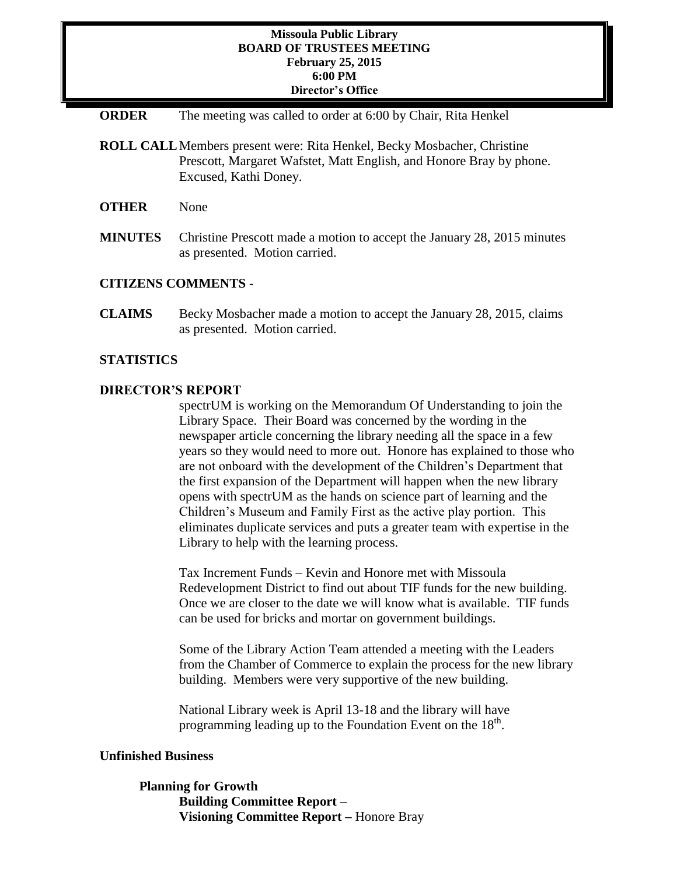### **Missoula Public Library BOARD OF TRUSTEES MEETING February 25, 2015 6:00 PM Director's Office**

- **ORDER** The meeting was called to order at 6:00 by Chair, Rita Henkel
- **ROLL CALL**Members present were: Rita Henkel, Becky Mosbacher, Christine Prescott, Margaret Wafstet, Matt English, and Honore Bray by phone. Excused, Kathi Doney.
- **OTHER** None
- **MINUTES** Christine Prescott made a motion to accept the January 28, 2015 minutes as presented. Motion carried.

#### **CITIZENS COMMENTS** -

**CLAIMS** Becky Mosbacher made a motion to accept the January 28, 2015, claims as presented. Motion carried.

### **STATISTICS**

## **DIRECTOR'S REPORT**

spectrUM is working on the Memorandum Of Understanding to join the Library Space. Their Board was concerned by the wording in the newspaper article concerning the library needing all the space in a few years so they would need to more out. Honore has explained to those who are not onboard with the development of the Children's Department that the first expansion of the Department will happen when the new library opens with spectrUM as the hands on science part of learning and the Children's Museum and Family First as the active play portion. This eliminates duplicate services and puts a greater team with expertise in the Library to help with the learning process.

Tax Increment Funds – Kevin and Honore met with Missoula Redevelopment District to find out about TIF funds for the new building. Once we are closer to the date we will know what is available. TIF funds can be used for bricks and mortar on government buildings.

Some of the Library Action Team attended a meeting with the Leaders from the Chamber of Commerce to explain the process for the new library building. Members were very supportive of the new building.

National Library week is April 13-18 and the library will have programming leading up to the Foundation Event on the 18<sup>th</sup>.

#### **Unfinished Business**

**Planning for Growth Building Committee Report** – **Visioning Committee Report –** Honore Bray